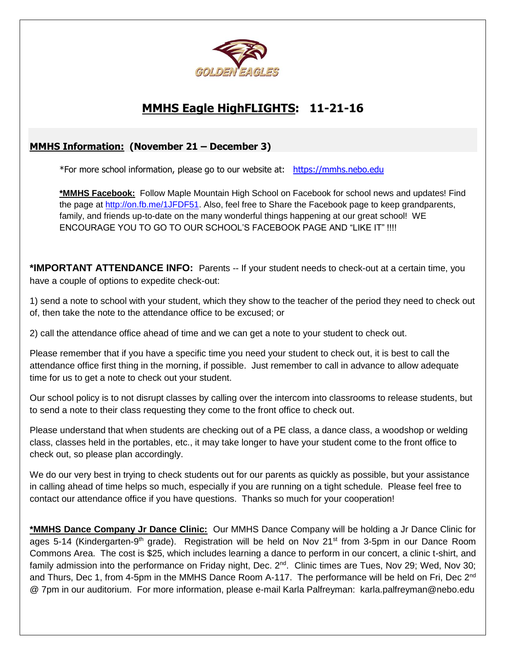

## **MMHS Eagle HighFLIGHTS: 11-21-16**

## **MMHS Information: (November 21 – December 3)**

\*For more school information, please go to our website at: [https://mmhs.nebo.edu](https://mmhs.nebo.edu/)

**\*MMHS Facebook:** Follow Maple Mountain High School on Facebook for school news and updates! Find the page at [http://on.fb.me/1JFDF51.](http://on.fb.me/1JFDF51) Also, feel free to Share the Facebook page to keep grandparents, family, and friends up-to-date on the many wonderful things happening at our great school! WE ENCOURAGE YOU TO GO TO OUR SCHOOL'S FACEBOOK PAGE AND "LIKE IT" !!!!

**\*IMPORTANT ATTENDANCE INFO:** Parents -- If your student needs to check-out at a certain time, you have a couple of options to expedite check-out:

1) send a note to school with your student, which they show to the teacher of the period they need to check out of, then take the note to the attendance office to be excused; or

2) call the attendance office ahead of time and we can get a note to your student to check out.

Please remember that if you have a specific time you need your student to check out, it is best to call the attendance office first thing in the morning, if possible. Just remember to call in advance to allow adequate time for us to get a note to check out your student.

Our school policy is to not disrupt classes by calling over the intercom into classrooms to release students, but to send a note to their class requesting they come to the front office to check out.

Please understand that when students are checking out of a PE class, a dance class, a woodshop or welding class, classes held in the portables, etc., it may take longer to have your student come to the front office to check out, so please plan accordingly.

We do our very best in trying to check students out for our parents as quickly as possible, but your assistance in calling ahead of time helps so much, especially if you are running on a tight schedule. Please feel free to contact our attendance office if you have questions. Thanks so much for your cooperation!

**\*MMHS Dance Company Jr Dance Clinic:** Our MMHS Dance Company will be holding a Jr Dance Clinic for ages 5-14 (Kindergarten-9<sup>th</sup> grade). Registration will be held on Nov 21<sup>st</sup> from 3-5pm in our Dance Room Commons Area. The cost is \$25, which includes learning a dance to perform in our concert, a clinic t-shirt, and family admission into the performance on Friday night, Dec. 2<sup>nd</sup>. Clinic times are Tues, Nov 29; Wed, Nov 30; and Thurs, Dec 1, from 4-5pm in the MMHS Dance Room A-117. The performance will be held on Fri, Dec 2<sup>nd</sup> @ 7pm in our auditorium. For more information, please e-mail Karla Palfreyman: karla.palfreyman@nebo.edu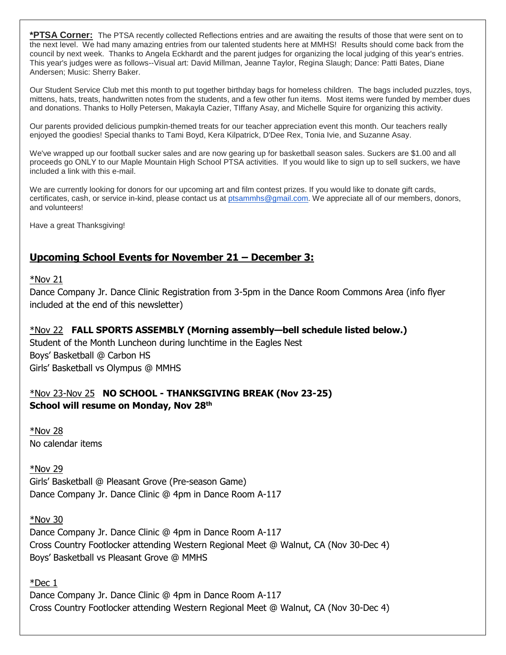**\*PTSA Corner:** The PTSA recently collected Reflections entries and are awaiting the results of those that were sent on to the next level. We had many amazing entries from our talented students here at MMHS! Results should come back from the council by next week. Thanks to Angela Eckhardt and the parent judges for organizing the local judging of this year's entries. This year's judges were as follows--Visual art: David Millman, Jeanne Taylor, Regina Slaugh; Dance: Patti Bates, Diane Andersen; Music: Sherry Baker.

Our Student Service Club met this month to put together birthday bags for homeless children. The bags included puzzles, toys, mittens, hats, treats, handwritten notes from the students, and a few other fun items. Most items were funded by member dues and donations. Thanks to Holly Petersen, Makayla Cazier, TIffany Asay, and Michelle Squire for organizing this activity.

Our parents provided delicious pumpkin-themed treats for our teacher appreciation event this month. Our teachers really enjoyed the goodies! Special thanks to Tami Boyd, Kera Kilpatrick, D'Dee Rex, Tonia Ivie, and Suzanne Asay.

We've wrapped up our football sucker sales and are now gearing up for basketball season sales. Suckers are \$1.00 and all proceeds go ONLY to our Maple Mountain High School PTSA activities. If you would like to sign up to sell suckers, we have included a link with this e-mail.

We are currently looking for donors for our upcoming art and film contest prizes. If you would like to donate gift cards, certificates, cash, or service in-kind, please contact us at [ptsammhs@gmail.com.](mailto:mmhsptsa@gmsil.com) We appreciate all of our members, donors, and volunteers!

Have a great Thanksgiving!

## **Upcoming School Events for November 21 – December 3:**

#### $*$ Nov 21

Dance Company Jr. Dance Clinic Registration from 3-5pm in the Dance Room Commons Area (info flyer included at the end of this newsletter)

\*Nov 22 **FALL SPORTS ASSEMBLY (Morning assembly—bell schedule listed below.)** Student of the Month Luncheon during lunchtime in the Eagles Nest Boys' Basketball @ Carbon HS Girls' Basketball vs Olympus @ MMHS

## \*Nov 23-Nov 25 **NO SCHOOL - THANKSGIVING BREAK (Nov 23-25) School will resume on Monday, Nov 28th**

\*Nov 28 No calendar items

\*Nov 29 Girls' Basketball @ Pleasant Grove (Pre-season Game) Dance Company Jr. Dance Clinic @ 4pm in Dance Room A-117

\*Nov 30 Dance Company Jr. Dance Clinic @ 4pm in Dance Room A-117 Cross Country Footlocker attending Western Regional Meet @ Walnut, CA (Nov 30-Dec 4) Boys' Basketball vs Pleasant Grove @ MMHS

\*Dec 1

Dance Company Jr. Dance Clinic @ 4pm in Dance Room A-117 Cross Country Footlocker attending Western Regional Meet @ Walnut, CA (Nov 30-Dec 4)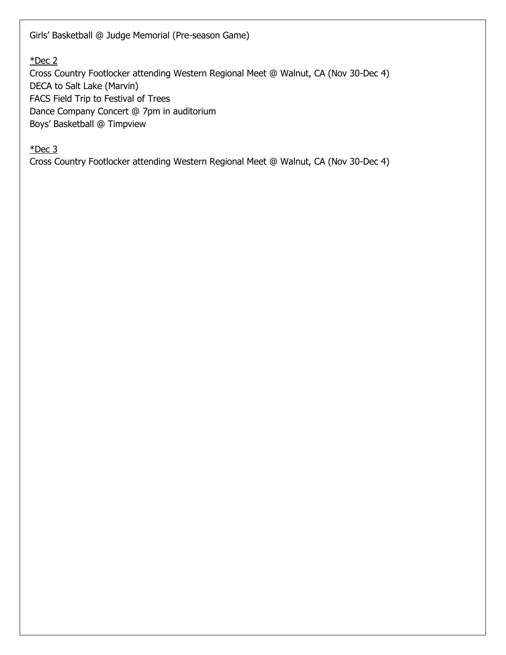Girls' Basketball @ Judge Memorial (Pre-season Game)

 $*$ Dec 2

Cross Country Footlocker attending Western Regional Meet @ Walnut, CA (Nov 30-Dec 4) DECA to Salt Lake (Marvin) FACS Field Trip to Festival of Trees Dance Company Concert @ 7pm in auditorium Boys' Basketball @ Timpview

 $*$ Dec 3

Cross Country Footlocker attending Western Regional Meet @ Walnut, CA (Nov 30-Dec 4)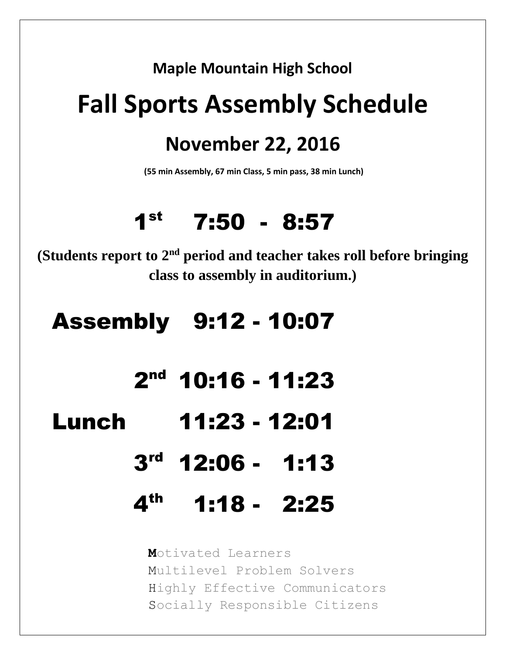## **Maple Mountain High School**

# **Fall Sports Assembly Schedule**

## **November 22, 2016**

**(55 min Assembly, 67 min Class, 5 min pass, 38 min Lunch)**

# $1<sup>st</sup>$  7:50 - 8:57

**(Students report to 2nd period and teacher takes roll before bringing class to assembly in auditorium.)**

# Assembly 9:12 - 10:07

- $2<sup>nd</sup>$  10:16 11:23
	- Lunch 11:23 12:01
		- 3 rd 12:06 1:13
		- 4 th 1:18 2:25

**M**otivated Learners Multilevel Problem Solvers Highly Effective Communicators Socially Responsible Citizens